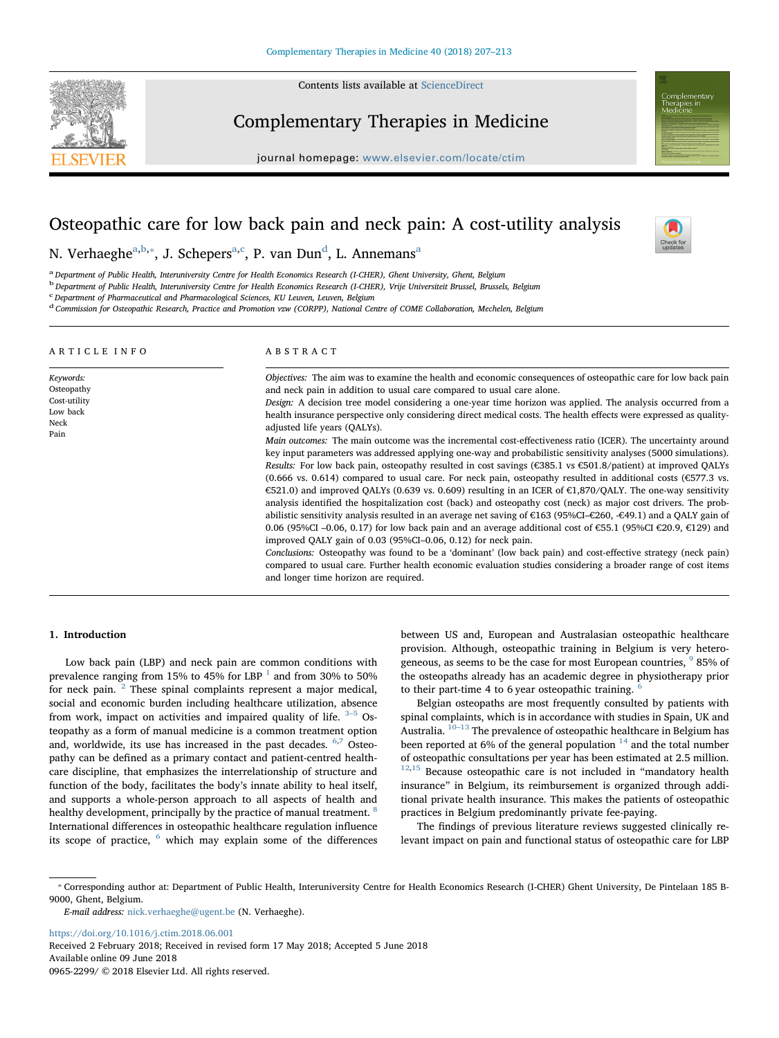Contents lists available at [ScienceDirect](http://www.sciencedirect.com/science/journal/09652299)

# Complementary Therapies in Medicine

journal homepage: [www.elsevier.com/locate/ctim](https://www.elsevier.com/locate/ctim)

# Osteopathic care for low back pain and neck pain: A cost-utility analysis



N. Verh[a](#page-0-0)eghe $a,b,*,$  $a,b,*,$  $a,b,*,$  J. S[c](#page-0-3)hepers $a,c$ , P. van Dun $^{\rm d}$  $^{\rm d}$  $^{\rm d}$ , L. Annemans $^{\rm a}$ 

<span id="page-0-0"></span>a Department of Public Health, Interuniversity Centre for Health Economics Research (I-CHER), Ghent University, Ghent, Belgium

<span id="page-0-1"></span>b Department of Public Health, Interuniversity Centre for Health Economics Research (I-CHER), Vrije Universiteit Brussel, Brussels, Belgium

<span id="page-0-3"></span><sup>c</sup> Department of Pharmaceutical and Pharmacological Sciences, KU Leuven, Leuven, Belgium

<span id="page-0-4"></span><sup>d</sup> Commission for Osteopathic Research, Practice and Promotion vzw (CORPP), National Centre of COME Collaboration, Mechelen, Belgium

| Objectives: The aim was to examine the health and economic consequences of osteopathic care for low back pain<br>and neck pain in addition to usual care compared to usual care alone.                                                                                                                                                                                                                                                                                                                                                                                                                                                                                                                                                                                                                                                                                                                                                                                                                                                                                                                                                                                                                                                                                                                                                                                                                                                                                                                                                            |
|---------------------------------------------------------------------------------------------------------------------------------------------------------------------------------------------------------------------------------------------------------------------------------------------------------------------------------------------------------------------------------------------------------------------------------------------------------------------------------------------------------------------------------------------------------------------------------------------------------------------------------------------------------------------------------------------------------------------------------------------------------------------------------------------------------------------------------------------------------------------------------------------------------------------------------------------------------------------------------------------------------------------------------------------------------------------------------------------------------------------------------------------------------------------------------------------------------------------------------------------------------------------------------------------------------------------------------------------------------------------------------------------------------------------------------------------------------------------------------------------------------------------------------------------------|
| Design: A decision tree model considering a one-year time horizon was applied. The analysis occurred from a<br>health insurance perspective only considering direct medical costs. The health effects were expressed as quality-<br>adjusted life years (OALYs).<br>Main outcomes: The main outcome was the incremental cost-effectiveness ratio (ICER). The uncertainty around<br>key input parameters was addressed applying one-way and probabilistic sensitivity analyses (5000 simulations).<br>Results: For low back pain, osteopathy resulted in cost savings ( $\epsilon$ 385.1 vs $\epsilon$ 501.8/patient) at improved OALYs<br>$(0.666 \text{ vs. } 0.614)$ compared to usual care. For neck pain, osteopathy resulted in additional costs ( $\epsilon$ 577.3 vs.<br>€521.0) and improved OALYs (0.639 vs. 0.609) resulting in an ICER of $€1,870/0$ ALY. The one-way sensitivity<br>analysis identified the hospitalization cost (back) and osteopathy cost (neck) as major cost drivers. The prob-<br>abilistic sensitivity analysis resulted in an average net saving of €163 (95%CI–€260, -€49.1) and a QALY gain of<br>0.06 (95%CI -0.06, 0.17) for low back pain and an average additional cost of €55.1 (95%CI €20.9, €129) and<br>improved OALY gain of 0.03 (95%CI-0.06, 0.12) for neck pain.<br>Conclusions: Osteopathy was found to be a 'dominant' (low back pain) and cost-effective strategy (neck pain)<br>compared to usual care. Further health economic evaluation studies considering a broader range of cost items |
|                                                                                                                                                                                                                                                                                                                                                                                                                                                                                                                                                                                                                                                                                                                                                                                                                                                                                                                                                                                                                                                                                                                                                                                                                                                                                                                                                                                                                                                                                                                                                   |

#### 1. Introduction

Low back pain (LBP) and neck pain are common conditions with prevalence ranging from [1](#page-5-0)5% to 45% for LBP  $^1$  and from 30% to 50% for neck pain. [2](#page-5-1) These spinal complaints represent a major medical, social and economic burden including healthcare utilization, absence from work, impact on activities and impaired quality of life.  $3-5$  $3-5$  Osteopathy as a form of manual medicine is a common treatment option and, worldwide, its use has increased in the past decades.  $6.7$  $6.7$  Osteopathy can be defined as a primary contact and patient-centred healthcare discipline, that emphasizes the interrelationship of structure and function of the body, facilitates the body's innate ability to heal itself, and supports a whole-person approach to all aspects of health and healthy development, principally by the practice of manual treatment. <sup>[8](#page-6-3)</sup> International differences in osteopathic healthcare regulation influence its scope of practice,  $6$  which may explain some of the differences between US and, European and Australasian osteopathic healthcare provision. Although, osteopathic training in Belgium is very hetero-geneous, as seems to be the case for most European countries, <sup>[9](#page-6-4)</sup> 85% of the osteopaths already has an academic degree in physiotherapy prior to their part-time 4 to [6](#page-6-1) year osteopathic training.

Belgian osteopaths are most frequently consulted by patients with spinal complaints, which is in accordance with studies in Spain, UK and Australia.  $10-13$  $10-13$  The prevalence of osteopathic healthcare in Belgium has been reported at 6% of the general population  $14$  and the total number of osteopathic consultations per year has been estimated at 2.5 million.  $12,15$  $12,15$  Because osteopathic care is not included in "mandatory health insurance" in Belgium, its reimbursement is organized through additional private health insurance. This makes the patients of osteopathic practices in Belgium predominantly private fee-paying.

The findings of previous literature reviews suggested clinically relevant impact on pain and functional status of osteopathic care for LBP

E-mail address: [nick.verhaeghe@ugent.be](mailto:nick.verhaeghe@ugent.be) (N. Verhaeghe).

<https://doi.org/10.1016/j.ctim.2018.06.001> Received 2 February 2018; Received in revised form 17 May 2018; Accepted 5 June 2018 Available online 09 June 2018

0965-2299/ © 2018 Elsevier Ltd. All rights reserved.

<span id="page-0-2"></span><sup>⁎</sup> Corresponding author at: Department of Public Health, Interuniversity Centre for Health Economics Research (I-CHER) Ghent University, De Pintelaan 185 B-9000, Ghent, Belgium.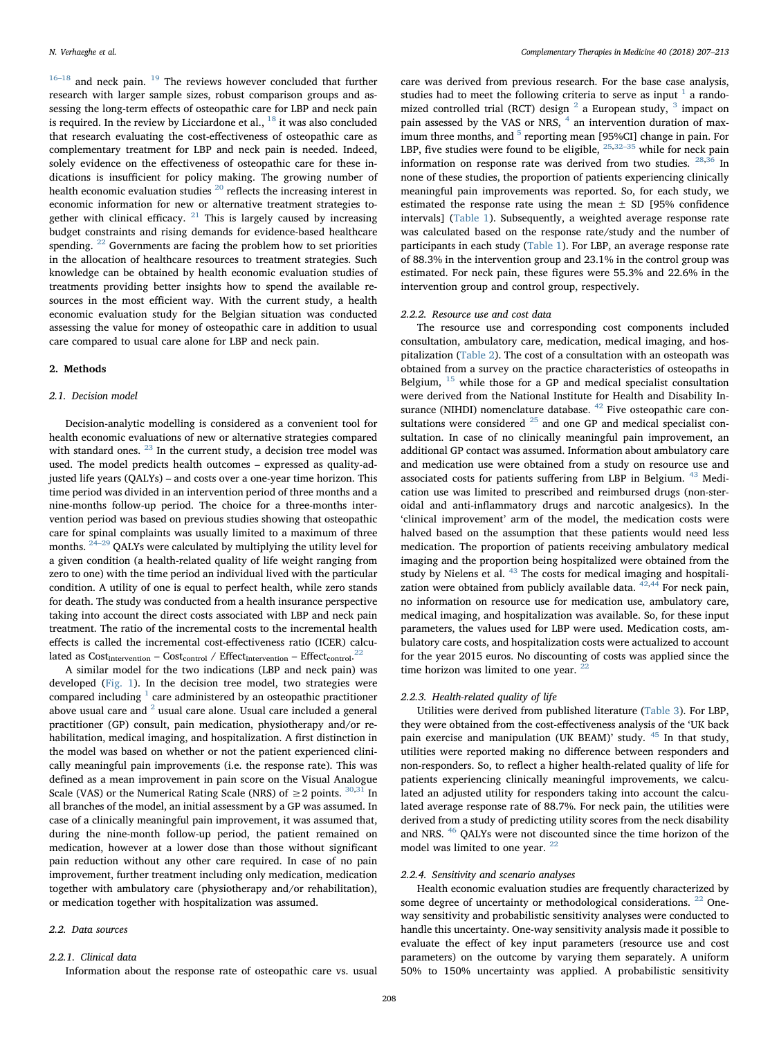$16-18$  $16-18$  and neck pain.  $^{19}$  $^{19}$  $^{19}$  The reviews however concluded that further research with larger sample sizes, robust comparison groups and assessing the long-term effects of osteopathic care for LBP and neck pain is required. In the review by Licciardone et al.,  $^{18}$  $^{18}$  $^{18}$  it was also concluded that research evaluating the cost-effectiveness of osteopathic care as complementary treatment for LBP and neck pain is needed. Indeed, solely evidence on the effectiveness of osteopathic care for these indications is insufficient for policy making. The growing number of health economic evaluation studies  $^{\mathrm{20}}$  $^{\mathrm{20}}$  $^{\mathrm{20}}$  reflects the increasing interest in economic information for new or alternative treatment strategies to-gether with clinical efficacy. <sup>[21](#page-6-13)</sup> This is largely caused by increasing budget constraints and rising demands for evidence-based healthcare spending.  $22$  Governments are facing the problem how to set priorities in the allocation of healthcare resources to treatment strategies. Such knowledge can be obtained by health economic evaluation studies of treatments providing better insights how to spend the available resources in the most efficient way. With the current study, a health economic evaluation study for the Belgian situation was conducted assessing the value for money of osteopathic care in addition to usual care compared to usual care alone for LBP and neck pain.

#### 2. Methods

# 2.1. Decision model

Decision-analytic modelling is considered as a convenient tool for health economic evaluations of new or alternative strategies compared with standard ones. <sup>[23](#page-6-15)</sup> In the current study, a decision tree model was used. The model predicts health outcomes – expressed as quality-adjusted life years (QALYs) – and costs over a one-year time horizon. This time period was divided in an intervention period of three months and a nine-months follow-up period. The choice for a three-months intervention period was based on previous studies showing that osteopathic care for spinal complaints was usually limited to a maximum of three months. [24](#page-6-16)–<sup>29</sup> QALYs were calculated by multiplying the utility level for a given condition (a health-related quality of life weight ranging from zero to one) with the time period an individual lived with the particular condition. A utility of one is equal to perfect health, while zero stands for death. The study was conducted from a health insurance perspective taking into account the direct costs associated with LBP and neck pain treatment. The ratio of the incremental costs to the incremental health effects is called the incremental cost-effectiveness ratio (ICER) calculated as  $Cost_{intervention} - Cost_{control} / Effect_{intervention} - Effect_{control.}^{22}$  $Cost_{intervention} - Cost_{control} / Effect_{intervention} - Effect_{control.}^{22}$  $Cost_{intervention} - Cost_{control} / Effect_{intervention} - Effect_{control.}^{22}$ 

A similar model for the two indications (LBP and neck pain) was developed ([Fig. 1](#page-2-0)). In the decision tree model, two strategies were compared including  $1$  care administered by an osteopathic practitioner above usual care and  $2$  usual care alone. Usual care included a general practitioner (GP) consult, pain medication, physiotherapy and/or rehabilitation, medical imaging, and hospitalization. A first distinction in the model was based on whether or not the patient experienced clinically meaningful pain improvements (i.e. the response rate). This was defined as a mean improvement in pain score on the Visual Analogue Scale (VAS) or the Numerical Rating Scale (NRS) of  $\geq$  2 points. <sup>[30](#page-6-17)[,31](#page-6-18)</sup> In all branches of the model, an initial assessment by a GP was assumed. In case of a clinically meaningful pain improvement, it was assumed that, during the nine-month follow-up period, the patient remained on medication, however at a lower dose than those without significant pain reduction without any other care required. In case of no pain improvement, further treatment including only medication, medication together with ambulatory care (physiotherapy and/or rehabilitation), or medication together with hospitalization was assumed.

#### 2.2. Data sources

#### 2.2.1. Clinical data

Information about the response rate of osteopathic care vs. usual

care was derived from previous research. For the base case analysis, studies had to meet the following criteria to serve as input  $<sup>1</sup>$  $<sup>1</sup>$  $<sup>1</sup>$  a rando-</sup> mized controlled trial (RCT) design <sup>[2](#page-5-1)</sup> a European study, <sup>[3](#page-6-0)</sup> impact on pain assessed by the VAS or NRS, <sup>[4](#page-6-19)</sup> an intervention duration of max-imum three months, and <sup>[5](#page-6-20)</sup> reporting mean [95%CI] change in pain. For LBP, five studies were found to be eligible,  $^{\mathrm{25,32-35}}$  $^{\mathrm{25,32-35}}$  $^{\mathrm{25,32-35}}$  $^{\mathrm{25,32-35}}$  $^{\mathrm{25,32-35}}$  while for neck pain information on response rate was derived from two studies. [28](#page-6-23)[,36](#page-6-24) In none of these studies, the proportion of patients experiencing clinically meaningful pain improvements was reported. So, for each study, we estimated the response rate using the mean  $\pm$  SD [95% confidence intervals] ([Table 1](#page-2-1)). Subsequently, a weighted average response rate was calculated based on the response rate/study and the number of participants in each study [\(Table 1\)](#page-2-1). For LBP, an average response rate of 88.3% in the intervention group and 23.1% in the control group was estimated. For neck pain, these figures were 55.3% and 22.6% in the intervention group and control group, respectively.

# 2.2.2. Resource use and cost data

The resource use and corresponding cost components included consultation, ambulatory care, medication, medical imaging, and hospitalization ([Table 2](#page-3-0)). The cost of a consultation with an osteopath was obtained from a survey on the practice characteristics of osteopaths in Belgium,  $15$  while those for a GP and medical specialist consultation were derived from the National Institute for Health and Disability In-surance (NIHDI) nomenclature database. <sup>[42](#page-6-25)</sup> Five osteopathic care consultations were considered  $25$  and one GP and medical specialist consultation. In case of no clinically meaningful pain improvement, an additional GP contact was assumed. Information about ambulatory care and medication use were obtained from a study on resource use and associated costs for patients suffering from LBP in Belgium. <sup>[43](#page-6-26)</sup> Medication use was limited to prescribed and reimbursed drugs (non-steroidal and anti-inflammatory drugs and narcotic analgesics). In the 'clinical improvement' arm of the model, the medication costs were halved based on the assumption that these patients would need less medication. The proportion of patients receiving ambulatory medical imaging and the proportion being hospitalized were obtained from the study by Nielens et al.<sup>[43](#page-6-26)</sup> The costs for medical imaging and hospitalization were obtained from publicly available data.  $42,44$  $42,44$  For neck pain, no information on resource use for medication use, ambulatory care, medical imaging, and hospitalization was available. So, for these input parameters, the values used for LBP were used. Medication costs, ambulatory care costs, and hospitalization costs were actualized to account for the year 2015 euros. No discounting of costs was applied since the time horizon was limited to one year.  $22$ 

# 2.2.3. Health-related quality of life

Utilities were derived from published literature [\(Table 3\)](#page-3-1). For LBP, they were obtained from the cost-effectiveness analysis of the 'UK back pain exercise and manipulation (UK BEAM)' study. [45](#page-6-28) In that study, utilities were reported making no difference between responders and non-responders. So, to reflect a higher health-related quality of life for patients experiencing clinically meaningful improvements, we calculated an adjusted utility for responders taking into account the calculated average response rate of 88.7%. For neck pain, the utilities were derived from a study of predicting utility scores from the neck disability and NRS. [46](#page-6-29) QALYs were not discounted since the time horizon of the model was limited to one year. <sup>[22](#page-6-14)</sup>

## 2.2.4. Sensitivity and scenario analyses

Health economic evaluation studies are frequently characterized by some degree of uncertainty or methodological considerations.  $22$  Oneway sensitivity and probabilistic sensitivity analyses were conducted to handle this uncertainty. One-way sensitivity analysis made it possible to evaluate the effect of key input parameters (resource use and cost parameters) on the outcome by varying them separately. A uniform 50% to 150% uncertainty was applied. A probabilistic sensitivity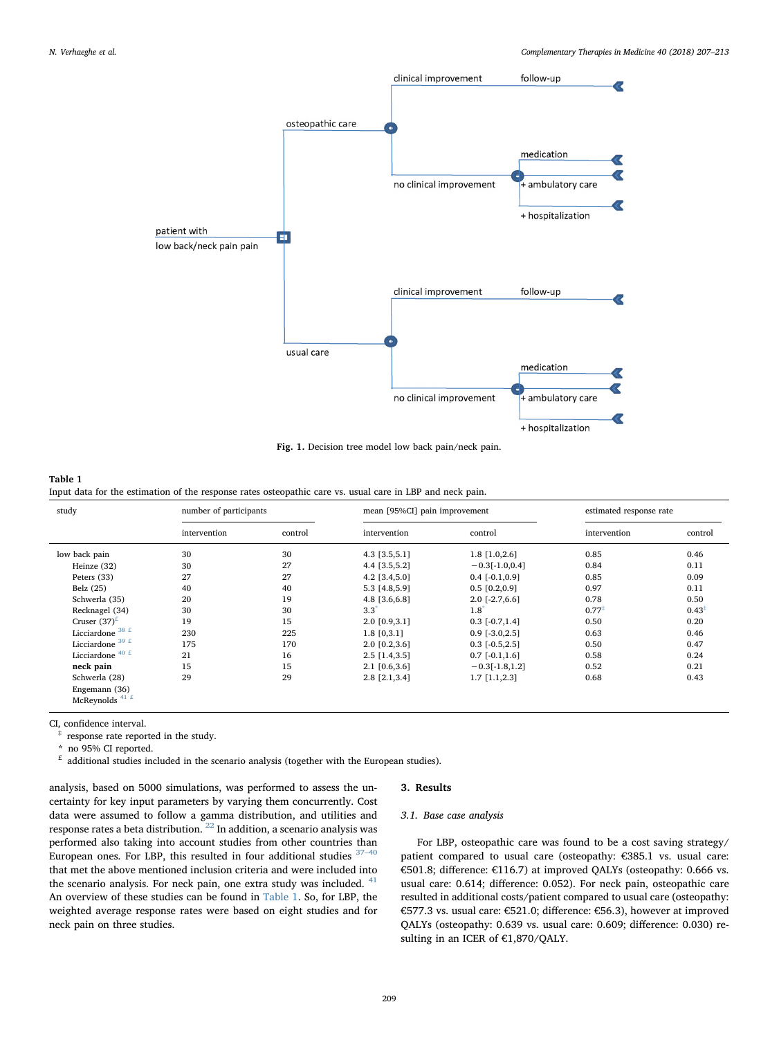<span id="page-2-0"></span>

Fig. 1. Decision tree model low back pain/neck pain.

# <span id="page-2-1"></span>Table 1

Input data for the estimation of the response rates osteopathic care vs. usual care in LBP and neck pain.

| study                      | number of participants |         | mean [95%CI] pain improvement |                       | estimated response rate |         |  |
|----------------------------|------------------------|---------|-------------------------------|-----------------------|-------------------------|---------|--|
|                            | intervention           | control | intervention                  | control               | intervention            | control |  |
| low back pain              | 30                     | 30      | $4.3$ [3.5,5.1]               | $1.8$ [1.0,2.6]       | 0.85                    | 0.46    |  |
| Heinze (32)                | 30                     | 27      | 4.4 [3.5,5.2]                 | $-0.3[-1.0, 0.4]$     | 0.84                    | 0.11    |  |
| Peters (33)                | 27                     | 27      | $4.2$ [3.4,5.0]               | $0.4$ [ $-0.1,0.9$ ]  | 0.85                    | 0.09    |  |
| Belz (25)                  | 40                     | 40      | 5.3 [4.8,5.9]                 | $0.5$ [0.2,0.9]       | 0.97                    | 0.11    |  |
| Schwerla (35)              | 20                     | 19      | 4.8 [3.6,6.8]                 | $2.0$ [ $-2.7,6.6$ ]  | 0.78                    | 0.50    |  |
| Recknagel (34)             | 30                     | 30      | $3.3^{\circ}$                 | $1.8^{\dagger}$       | $0.77^{*}$              | $0.43*$ |  |
| Cruser $(37)^{\text{E}}$   | 19                     | 15      | 2.0 [0.9,3.1]                 | $0.3$ [ $-0.7,1.4$ ]  | 0.50                    | 0.20    |  |
| Licciardone $38 f$         | 230                    | 225     | $1.8$ [0,3.1]                 | $0.9$ [ $-3.0,2.5$ ]  | 0.63                    | 0.46    |  |
| Licciardone $39 f$         | 175                    | 170     | $2.0$ [0.2,3.6]               | $0.3$ [ $-0.5, 2.5$ ] | 0.50                    | 0.47    |  |
| Licciardone $40 \text{ f}$ | 21                     | 16      | $2.5$ [1.4,3.5]               | $0.7$ [ $-0.1,1.6$ ]  | 0.58                    | 0.24    |  |
| neck pain                  | 15                     | 15      | $2.1$ [0.6,3.6]               | $-0.3[-1.8, 1.2]$     | 0.52                    | 0.21    |  |
| Schwerla (28)              | 29                     | 29      | 2.8 [2.1,3.4]                 | $1.7$ [1.1,2.3]       | 0.68                    | 0.43    |  |
| Engemann (36)              |                        |         |                               |                       |                         |         |  |
| McReynolds <sup>41 £</sup> |                        |         |                               |                       |                         |         |  |

CI, confidence interval.

<span id="page-2-4"></span>response rate reported in the study.

<span id="page-2-3"></span>no 95% CI reported.

<span id="page-2-2"></span> $\frac{1}{2}$  additional studies included in the scenario analysis (together with the European studies).

## 3. Results

analysis, based on 5000 simulations, was performed to assess the uncertainty for key input parameters by varying them concurrently. Cost data were assumed to follow a gamma distribution, and utilities and response rates a beta distribution. [22](#page-6-14) In addition, a scenario analysis was performed also taking into account studies from other countries than European ones. For LBP, this resulted in four additional studies  $37-40$  $37-40$ that met the above mentioned inclusion criteria and were included into the scenario analysis. For neck pain, one extra study was included. <sup>[41](#page-6-31)</sup> An overview of these studies can be found in [Table 1.](#page-2-1) So, for LBP, the weighted average response rates were based on eight studies and for neck pain on three studies.

# 3.1. Base case analysis

For LBP, osteopathic care was found to be a cost saving strategy/ patient compared to usual care (osteopathy: €385.1 vs. usual care: €501.8; difference: €116.7) at improved QALYs (osteopathy: 0.666 vs. usual care: 0.614; difference: 0.052). For neck pain, osteopathic care resulted in additional costs/patient compared to usual care (osteopathy: €577.3 vs. usual care: €521.0; difference: €56.3), however at improved QALYs (osteopathy: 0.639 vs. usual care: 0.609; difference: 0.030) resulting in an ICER of €1,870/QALY.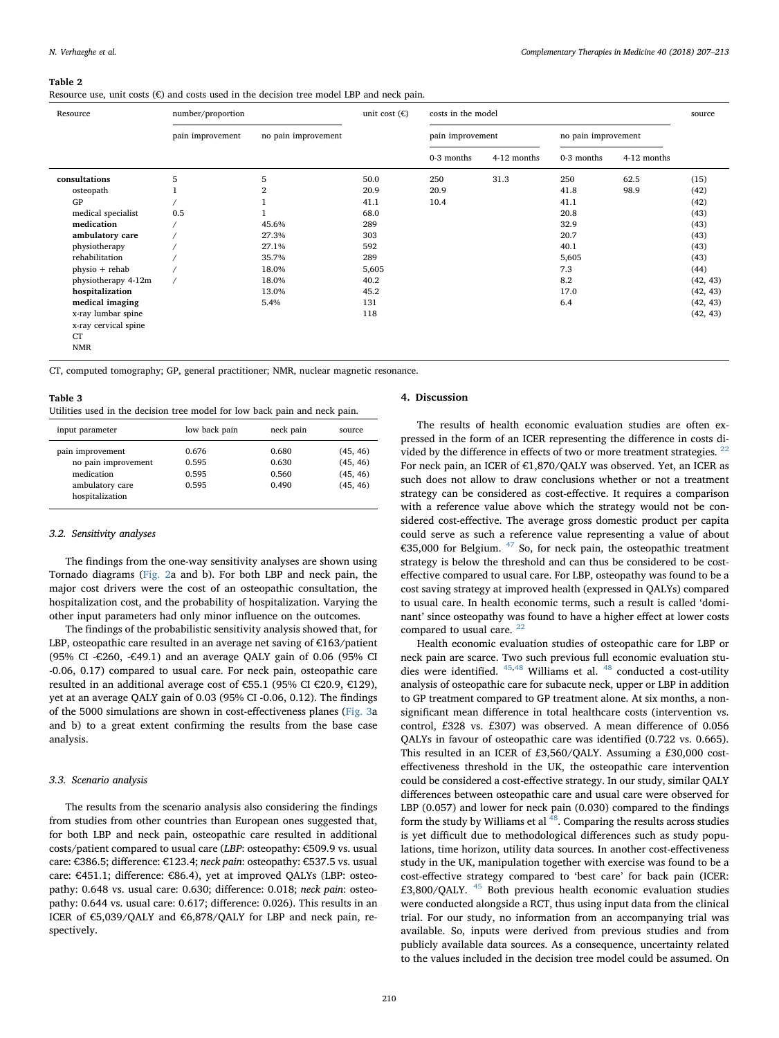#### <span id="page-3-0"></span>Table 2

Resource use, unit costs  $(\epsilon)$  and costs used in the decision tree model LBP and neck pain.

| Resource                                                | number/proportion |                     |       | costs in the model |             |                     |             | source   |
|---------------------------------------------------------|-------------------|---------------------|-------|--------------------|-------------|---------------------|-------------|----------|
|                                                         | pain improvement  | no pain improvement |       | pain improvement   |             | no pain improvement |             |          |
|                                                         |                   |                     |       | 0-3 months         | 4-12 months | 0-3 months          | 4-12 months |          |
| consultations                                           | 5                 | 5                   | 50.0  | 250                | 31.3        | 250                 | 62.5        | (15)     |
| osteopath                                               |                   |                     | 20.9  | 20.9               |             | 41.8                | 98.9        | (42)     |
| GP                                                      |                   |                     | 41.1  | 10.4               |             | 41.1                |             | (42)     |
| medical specialist                                      | 0.5               |                     | 68.0  |                    |             | 20.8                |             | (43)     |
| medication                                              |                   | 45.6%               | 289   |                    |             | 32.9                |             | (43)     |
| ambulatory care                                         |                   | 27.3%               | 303   |                    |             | 20.7                |             | (43)     |
| physiotherapy                                           |                   | 27.1%               | 592   |                    |             | 40.1                |             | (43)     |
| rehabilitation                                          |                   | 35.7%               | 289   |                    |             | 5,605               |             | (43)     |
| $physio + rehab$                                        |                   | 18.0%               | 5,605 |                    |             | 7.3                 |             | (44)     |
| physiotherapy 4-12m                                     |                   | 18.0%               | 40.2  |                    |             | 8.2                 |             | (42, 43) |
| hospitalization                                         |                   | 13.0%               | 45.2  |                    |             | 17.0                |             | (42, 43) |
| medical imaging                                         |                   | 5.4%                | 131   |                    |             | 6.4                 |             | (42, 43) |
| x-ray lumbar spine<br>x-ray cervical spine<br><b>CT</b> |                   |                     | 118   |                    |             |                     |             | (42, 43) |

NMR

CT, computed tomography; GP, general practitioner; NMR, nuclear magnetic resonance.

# <span id="page-3-1"></span>Table 3

| Utilities used in the decision tree model for low back pain and neck pain. |  |  |  |  |  |  |  |  |  |  |  |
|----------------------------------------------------------------------------|--|--|--|--|--|--|--|--|--|--|--|
|----------------------------------------------------------------------------|--|--|--|--|--|--|--|--|--|--|--|

| input parameter                                                                             | low back pain                    | neck pain                        | source                                       |
|---------------------------------------------------------------------------------------------|----------------------------------|----------------------------------|----------------------------------------------|
| pain improvement<br>no pain improvement<br>medication<br>ambulatory care<br>hospitalization | 0.676<br>0.595<br>0.595<br>0.595 | 0.680<br>0.630<br>0.560<br>0.490 | (45, 46)<br>(45, 46)<br>(45, 46)<br>(45, 46) |

#### 3.2. Sensitivity analyses

The findings from the one-way sensitivity analyses are shown using Tornado diagrams [\(Fig. 2a](#page-4-0) and b). For both LBP and neck pain, the major cost drivers were the cost of an osteopathic consultation, the hospitalization cost, and the probability of hospitalization. Varying the other input parameters had only minor influence on the outcomes.

The findings of the probabilistic sensitivity analysis showed that, for LBP, osteopathic care resulted in an average net saving of  $E163/p$ atient (95% CI -€260, -€49.1) and an average QALY gain of 0.06 (95% CI -0.06, 0.17) compared to usual care. For neck pain, osteopathic care resulted in an additional average cost of €55.1 (95% CI €20.9, €129), yet at an average QALY gain of 0.03 (95% CI -0.06, 0.12). The findings of the 5000 simulations are shown in cost-effectiveness planes [\(Fig. 3a](#page-5-2) and b) to a great extent confirming the results from the base case analysis.

#### 3.3. Scenario analysis

The results from the scenario analysis also considering the findings from studies from other countries than European ones suggested that, for both LBP and neck pain, osteopathic care resulted in additional costs/patient compared to usual care (LBP: osteopathy: €509.9 vs. usual care: €386.5; difference: €123.4; neck pain: osteopathy: €537.5 vs. usual care: €451.1; difference: €86.4), yet at improved QALYs (LBP: osteopathy: 0.648 vs. usual care: 0.630; difference: 0.018; neck pain: osteopathy: 0.644 vs. usual care: 0.617; difference: 0.026). This results in an ICER of €5,039/QALY and €6,878/QALY for LBP and neck pain, respectively.

## 4. Discussion

The results of health economic evaluation studies are often expressed in the form of an ICER representing the difference in costs divided by the difference in effects of two or more treatment strategies.  $22$ For neck pain, an ICER of €1,870/QALY was observed. Yet, an ICER as such does not allow to draw conclusions whether or not a treatment strategy can be considered as cost-effective. It requires a comparison with a reference value above which the strategy would not be considered cost-effective. The average gross domestic product per capita could serve as such a reference value representing a value of about €35,000 for Belgium.  $47$  So, for neck pain, the osteopathic treatment strategy is below the threshold and can thus be considered to be costeffective compared to usual care. For LBP, osteopathy was found to be a cost saving strategy at improved health (expressed in QALYs) compared to usual care. In health economic terms, such a result is called 'dominant' since osteopathy was found to have a higher effect at lower costs compared to usual care.  $22$ 

Health economic evaluation studies of osteopathic care for LBP or neck pain are scarce. Two such previous full economic evaluation stu-dies were identified. <sup>[45,](#page-6-28)[48](#page-6-36)</sup> Williams et al. <sup>48</sup> conducted a cost-utility analysis of osteopathic care for subacute neck, upper or LBP in addition to GP treatment compared to GP treatment alone. At six months, a nonsignificant mean difference in total healthcare costs (intervention vs. control, £328 vs. £307) was observed. A mean difference of 0.056 QALYs in favour of osteopathic care was identified (0.722 vs. 0.665). This resulted in an ICER of £3,560/QALY. Assuming a £30,000 costeffectiveness threshold in the UK, the osteopathic care intervention could be considered a cost-effective strategy. In our study, similar QALY differences between osteopathic care and usual care were observed for LBP (0.057) and lower for neck pain (0.030) compared to the findings form the study by Williams et al <sup>48</sup>. Comparing the results across studies is yet difficult due to methodological differences such as study populations, time horizon, utility data sources. In another cost-effectiveness study in the UK, manipulation together with exercise was found to be a cost-effective strategy compared to 'best care' for back pain (ICER: £3,800/QALY. [45](#page-6-28) Both previous health economic evaluation studies were conducted alongside a RCT, thus using input data from the clinical trial. For our study, no information from an accompanying trial was available. So, inputs were derived from previous studies and from publicly available data sources. As a consequence, uncertainty related to the values included in the decision tree model could be assumed. On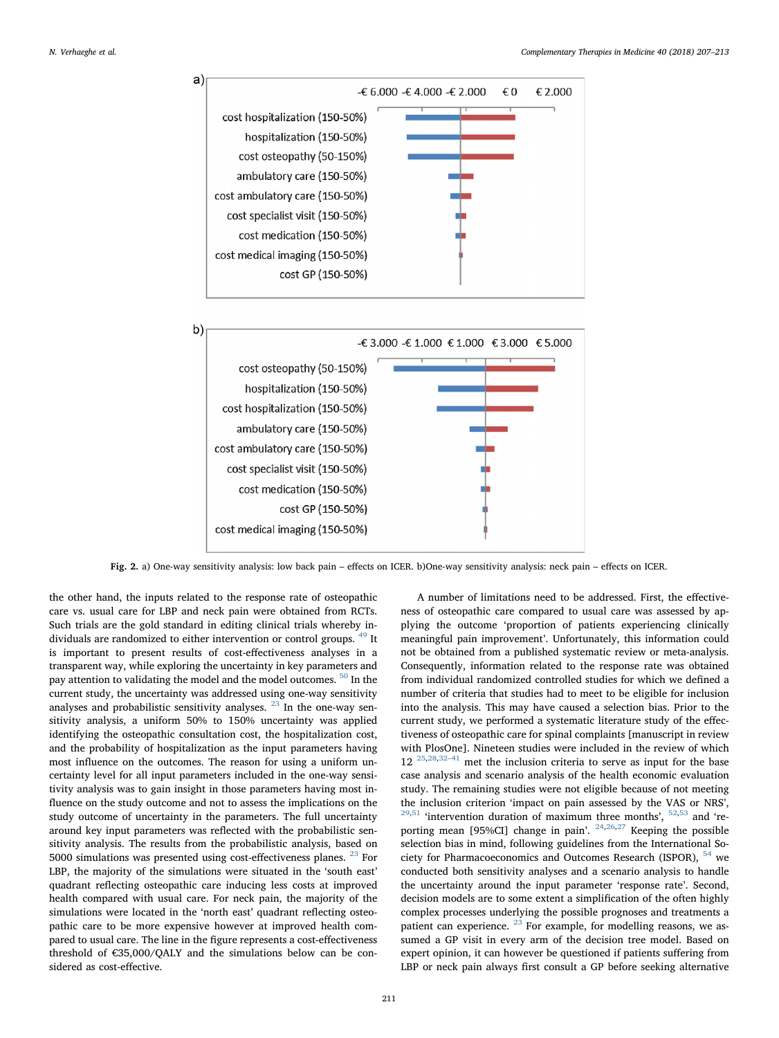<span id="page-4-0"></span>

Fig. 2. a) One-way sensitivity analysis: low back pain – effects on ICER. b)One-way sensitivity analysis: neck pain – effects on ICER.

the other hand, the inputs related to the response rate of osteopathic care vs. usual care for LBP and neck pain were obtained from RCTs. Such trials are the gold standard in editing clinical trials whereby individuals are randomized to either intervention or control groups. [49](#page-6-37) It is important to present results of cost-effectiveness analyses in a transparent way, while exploring the uncertainty in key parameters and pay attention to validating the model and the model outcomes. [50](#page-6-38) In the current study, the uncertainty was addressed using one-way sensitivity analyses and probabilistic sensitivity analyses. <sup>[23](#page-6-15)</sup> In the one-way sensitivity analysis, a uniform 50% to 150% uncertainty was applied identifying the osteopathic consultation cost, the hospitalization cost, and the probability of hospitalization as the input parameters having most influence on the outcomes. The reason for using a uniform uncertainty level for all input parameters included in the one-way sensitivity analysis was to gain insight in those parameters having most influence on the study outcome and not to assess the implications on the study outcome of uncertainty in the parameters. The full uncertainty around key input parameters was reflected with the probabilistic sensitivity analysis. The results from the probabilistic analysis, based on 5000 simulations was presented using cost-effectiveness planes. <sup>[23](#page-6-15)</sup> For LBP, the majority of the simulations were situated in the 'south east' quadrant reflecting osteopathic care inducing less costs at improved health compared with usual care. For neck pain, the majority of the simulations were located in the 'north east' quadrant reflecting osteopathic care to be more expensive however at improved health compared to usual care. The line in the figure represents a cost-effectiveness threshold of €35,000/QALY and the simulations below can be considered as cost-effective.

A number of limitations need to be addressed. First, the effectiveness of osteopathic care compared to usual care was assessed by applying the outcome 'proportion of patients experiencing clinically meaningful pain improvement'. Unfortunately, this information could not be obtained from a published systematic review or meta-analysis. Consequently, information related to the response rate was obtained from individual randomized controlled studies for which we defined a number of criteria that studies had to meet to be eligible for inclusion into the analysis. This may have caused a selection bias. Prior to the current study, we performed a systematic literature study of the effectiveness of osteopathic care for spinal complaints [manuscript in review with PlosOne]. Nineteen studies were included in the review of which  $12^{25,28,32-41}$  $12^{25,28,32-41}$  $12^{25,28,32-41}$  $12^{25,28,32-41}$  $12^{25,28,32-41}$  $12^{25,28,32-41}$  met the inclusion criteria to serve as input for the base case analysis and scenario analysis of the health economic evaluation study. The remaining studies were not eligible because of not meeting the inclusion criterion 'impact on pain assessed by the VAS or NRS',  $29,51$  $29,51$  'intervention duration of maximum three months',  $52,53$  $52,53$  $52,53$  and 're-porting mean [95%CI] change in pain'. <sup>[24,](#page-6-16)[26](#page-6-43)[,27](#page-6-44)</sup> Keeping the possible selection bias in mind, following guidelines from the International Society for Pharmacoeconomics and Outcomes Research (ISPOR), [54](#page-6-45) we conducted both sensitivity analyses and a scenario analysis to handle the uncertainty around the input parameter 'response rate'. Second, decision models are to some extent a simplification of the often highly complex processes underlying the possible prognoses and treatments a patient can experience.  $^{23}$  $^{23}$  $^{23}$  For example, for modelling reasons, we assumed a GP visit in every arm of the decision tree model. Based on expert opinion, it can however be questioned if patients suffering from LBP or neck pain always first consult a GP before seeking alternative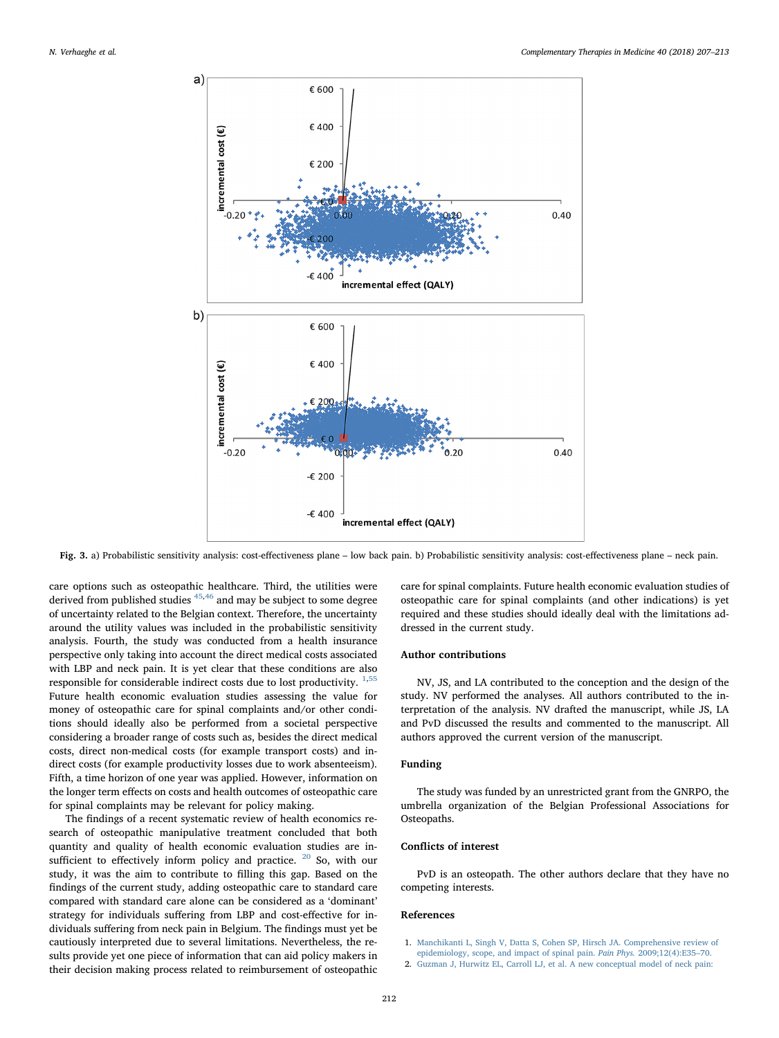<span id="page-5-2"></span>

Fig. 3. a) Probabilistic sensitivity analysis: cost-effectiveness plane – low back pain. b) Probabilistic sensitivity analysis: cost-effectiveness plane – neck pain.

care options such as osteopathic healthcare. Third, the utilities were derived from published studies [45](#page-6-28),[46](#page-6-29) and may be subject to some degree of uncertainty related to the Belgian context. Therefore, the uncertainty around the utility values was included in the probabilistic sensitivity analysis. Fourth, the study was conducted from a health insurance perspective only taking into account the direct medical costs associated with LBP and neck pain. It is yet clear that these conditions are also responsible for considerable indirect costs due to lost productivity.  $1,55$  $1,55$  $1,55$ Future health economic evaluation studies assessing the value for money of osteopathic care for spinal complaints and/or other conditions should ideally also be performed from a societal perspective considering a broader range of costs such as, besides the direct medical costs, direct non-medical costs (for example transport costs) and indirect costs (for example productivity losses due to work absenteeism). Fifth, a time horizon of one year was applied. However, information on the longer term effects on costs and health outcomes of osteopathic care for spinal complaints may be relevant for policy making.

The findings of a recent systematic review of health economics research of osteopathic manipulative treatment concluded that both quantity and quality of health economic evaluation studies are insufficient to effectively inform policy and practice.  $20$  So, with our study, it was the aim to contribute to filling this gap. Based on the findings of the current study, adding osteopathic care to standard care compared with standard care alone can be considered as a 'dominant' strategy for individuals suffering from LBP and cost-effective for individuals suffering from neck pain in Belgium. The findings must yet be cautiously interpreted due to several limitations. Nevertheless, the results provide yet one piece of information that can aid policy makers in their decision making process related to reimbursement of osteopathic

care for spinal complaints. Future health economic evaluation studies of osteopathic care for spinal complaints (and other indications) is yet required and these studies should ideally deal with the limitations addressed in the current study.

# Author contributions

NV, JS, and LA contributed to the conception and the design of the study. NV performed the analyses. All authors contributed to the interpretation of the analysis. NV drafted the manuscript, while JS, LA and PvD discussed the results and commented to the manuscript. All authors approved the current version of the manuscript.

# Funding

The study was funded by an unrestricted grant from the GNRPO, the umbrella organization of the Belgian Professional Associations for Osteopaths.

# Conflicts of interest

PvD is an osteopath. The other authors declare that they have no competing interests.

#### References

- <span id="page-5-0"></span>1. [Manchikanti L, Singh V, Datta S, Cohen SP, Hirsch JA. Comprehensive review of](http://refhub.elsevier.com/S0965-2299(18)30080-3/sbref0005)
- [epidemiology, scope, and impact of spinal pain.](http://refhub.elsevier.com/S0965-2299(18)30080-3/sbref0005) Pain Phys. 2009;12(4):E35–70.
- <span id="page-5-1"></span>2. [Guzman J, Hurwitz EL, Carroll LJ, et al. A new conceptual model of neck pain:](http://refhub.elsevier.com/S0965-2299(18)30080-3/sbref0010)